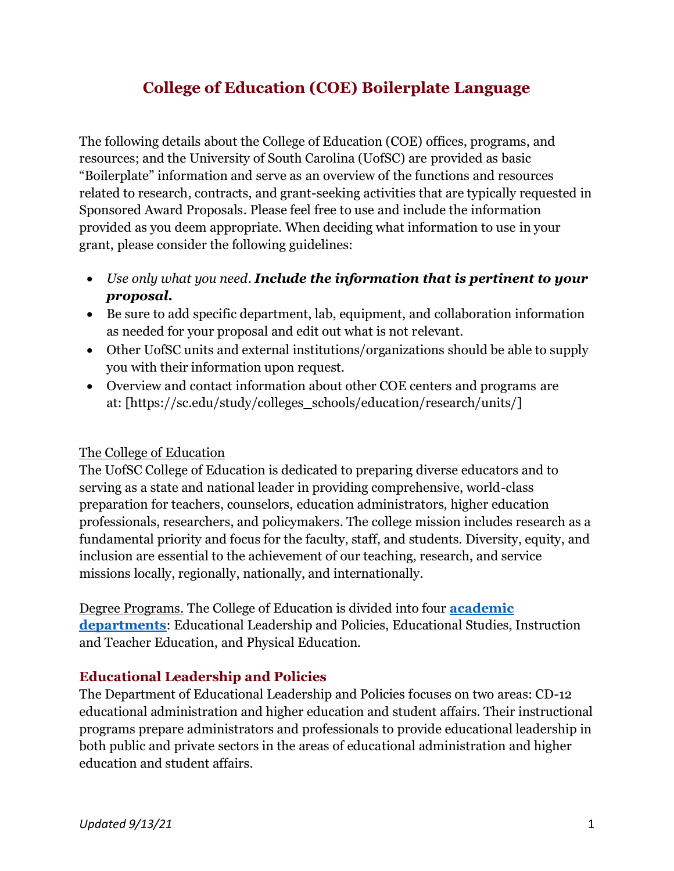# **College of Education (COE) Boilerplate Language**

The following details about the College of Education (COE) offices, programs, and resources; and the University of South Carolina (UofSC) are provided as basic "Boilerplate" information and serve as an overview of the functions and resources related to research, contracts, and grant-seeking activities that are typically requested in Sponsored Award Proposals. Please feel free to use and include the information provided as you deem appropriate. When deciding what information to use in your grant, please consider the following guidelines:

- *Use only what you need*. *Include the information that is pertinent to your proposal.*
- Be sure to add specific department, lab, equipment, and collaboration information as needed for your proposal and edit out what is not relevant.
- Other UofSC units and external institutions/organizations should be able to supply you with their information upon request.
- Overview and contact information about other COE centers and programs are at: [https://sc.edu/study/colleges\_schools/education/research/units/]

## The College of Education

The UofSC College of Education is dedicated to preparing diverse educators and to serving as a state and national leader in providing comprehensive, world-class preparation for teachers, counselors, education administrators, higher education professionals, researchers, and policymakers. The college mission includes research as a fundamental priority and focus for the faculty, staff, and students. Diversity, equity, and inclusion are essential to the achievement of our teaching, research, and service missions locally, regionally, nationally, and internationally.

Degree Programs. The College of Education is divided into four **[academic](https://sc.edu/study/colleges_schools/education/about/academic_departments/index.php)  [departments](https://sc.edu/study/colleges_schools/education/about/academic_departments/index.php)**: Educational Leadership and Policies, Educational Studies, Instruction and Teacher Education, and Physical Education.

## **Educational Leadership and Policies**

The Department of Educational Leadership and Policies focuses on two areas: CD-12 educational administration and higher education and student affairs. Their instructional programs prepare administrators and professionals to provide educational leadership in both public and private sectors in the areas of educational administration and higher education and student affairs.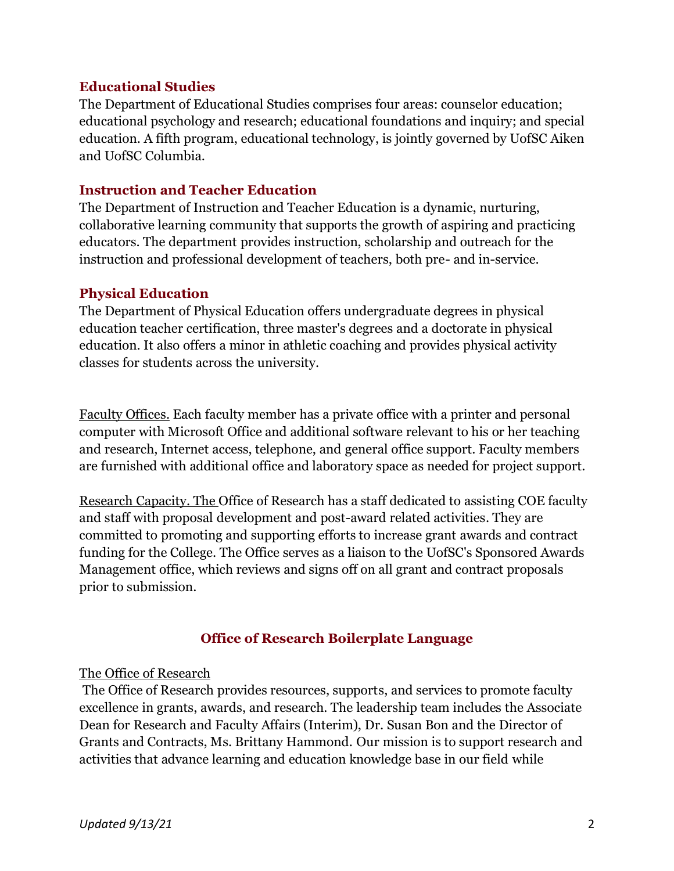### **Educational Studies**

The Department of Educational Studies comprises four areas: counselor education; educational psychology and research; educational foundations and inquiry; and special education. A fifth program, educational technology, is jointly governed by UofSC Aiken and UofSC Columbia.

### **Instruction and Teacher Education**

The Department of Instruction and Teacher Education is a dynamic, nurturing, collaborative learning community that supports the growth of aspiring and practicing educators. The department provides instruction, scholarship and outreach for the instruction and professional development of teachers, both pre- and in-service.

### **Physical Education**

The Department of Physical Education offers undergraduate degrees in physical education teacher certification, three master's degrees and a doctorate in physical education. It also offers a minor in athletic coaching and provides physical activity classes for students across the university.

Faculty Offices. Each faculty member has a private office with a printer and personal computer with Microsoft Office and additional software relevant to his or her teaching and research, Internet access, telephone, and general office support. Faculty members are furnished with additional office and laboratory space as needed for project support.

Research Capacity. The Office of Research has a staff dedicated to assisting COE faculty and staff with proposal development and post-award related activities. They are committed to promoting and supporting efforts to increase grant awards and contract funding for the College. The Office serves as a liaison to the UofSC's Sponsored Awards Management office, which reviews and signs off on all grant and contract proposals prior to submission.

## **Office of Research Boilerplate Language**

#### The Office of Research

The Office of Research provides resources, supports, and services to promote faculty excellence in grants, awards, and research. The leadership team includes the Associate Dean for Research and Faculty Affairs (Interim), Dr. Susan Bon and the Director of Grants and Contracts, Ms. Brittany Hammond. Our mission is to support research and activities that advance learning and education knowledge base in our field while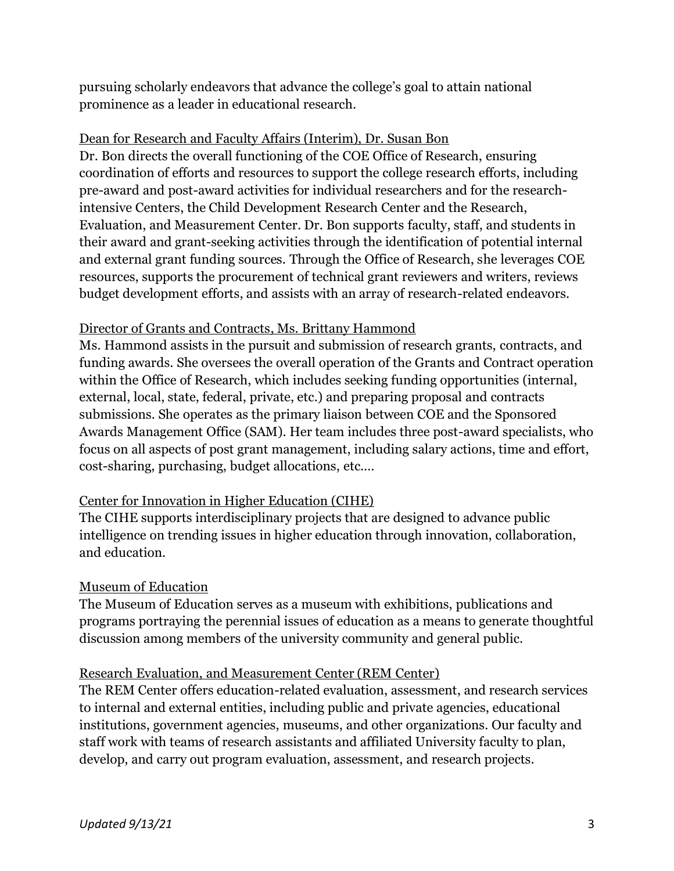pursuing scholarly endeavors that advance the college's goal to attain national prominence as a leader in educational research.

# Dean for Research and Faculty Affairs (Interim), Dr. Susan Bon

Dr. Bon directs the overall functioning of the COE Office of Research, ensuring coordination of efforts and resources to support the college research efforts, including pre-award and post-award activities for individual researchers and for the researchintensive Centers, the Child Development Research Center and the Research, Evaluation, and Measurement Center. Dr. Bon supports faculty, staff, and students in their award and grant-seeking activities through the identification of potential internal and external grant funding sources. Through the Office of Research, she leverages COE resources, supports the procurement of technical grant reviewers and writers, reviews budget development efforts, and assists with an array of research-related endeavors.

# Director of Grants and Contracts, Ms. Brittany Hammond

Ms. Hammond assists in the pursuit and submission of research grants, contracts, and funding awards. She oversees the overall operation of the Grants and Contract operation within the Office of Research, which includes seeking funding opportunities (internal, external, local, state, federal, private, etc.) and preparing proposal and contracts submissions. She operates as the primary liaison between COE and the Sponsored Awards Management Office (SAM). Her team includes three post-award specialists, who focus on all aspects of post grant management, including salary actions, time and effort, cost-sharing, purchasing, budget allocations, etc.…

# Center for Innovation in Higher Education (CIHE)

The CIHE supports interdisciplinary projects that are designed to advance public intelligence on trending issues in higher education through innovation, collaboration, and education.

## Museum of Education

The Museum of Education serves as a museum with exhibitions, publications and programs portraying the perennial issues of education as a means to generate thoughtful discussion among members of the university community and general public.

## Research Evaluation, and Measurement Center (REM Center)

The REM Center offers education-related evaluation, assessment, and research services to internal and external entities, including public and private agencies, educational institutions, government agencies, museums, and other organizations. Our faculty and staff work with teams of research assistants and affiliated University faculty to plan, develop, and carry out program evaluation, assessment, and research projects.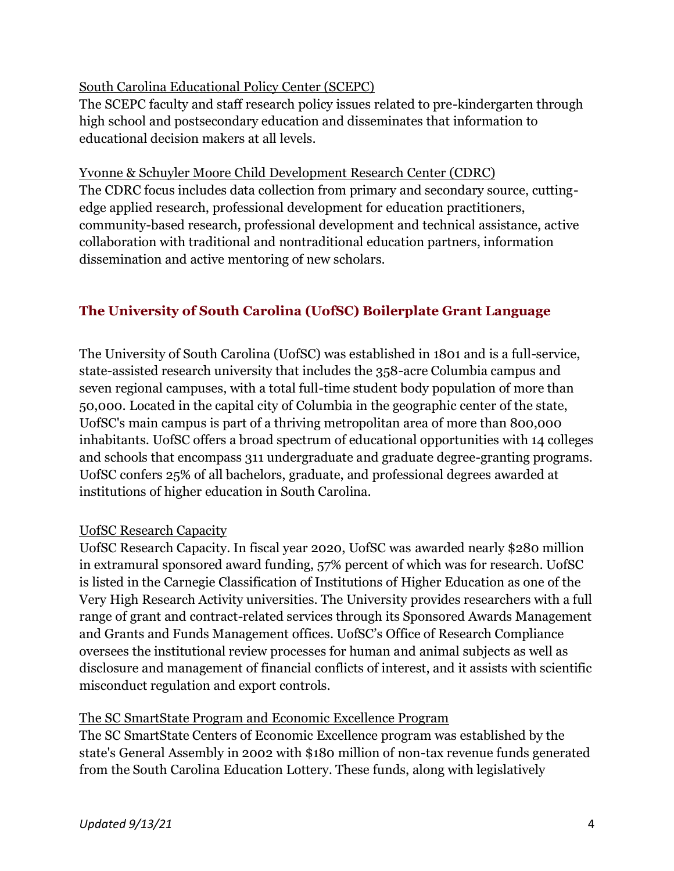# South Carolina Educational Policy Center (SCEPC)

The SCEPC faculty and staff research policy issues related to pre-kindergarten through high school and postsecondary education and disseminates that information to educational decision makers at all levels.

## Yvonne & Schuyler Moore Child Development Research Center (CDRC)

The CDRC focus includes data collection from primary and secondary source, cuttingedge applied research, professional development for education practitioners, community-based research, professional development and technical assistance, active collaboration with traditional and nontraditional education partners, information dissemination and active mentoring of new scholars.

# **The University of South Carolina (UofSC) Boilerplate Grant Language**

The University of South Carolina (UofSC) was established in 1801 and is a full-service, state-assisted research university that includes the 358-acre Columbia campus and seven regional campuses, with a total full-time student body population of more than 50,000. Located in the capital city of Columbia in the geographic center of the state, UofSC's main campus is part of a thriving metropolitan area of more than 800,000 inhabitants. UofSC offers a broad spectrum of educational opportunities with 14 colleges and schools that encompass 311 undergraduate and graduate degree-granting programs. UofSC confers 25% of all bachelors, graduate, and professional degrees awarded at institutions of higher education in South Carolina.

## UofSC Research Capacity

UofSC Research Capacity. In fiscal year 2020, UofSC was awarded nearly \$280 million in extramural sponsored award funding, 57% percent of which was for research. UofSC is listed in the Carnegie Classification of Institutions of Higher Education as one of the Very High Research Activity universities. The University provides researchers with a full range of grant and contract-related services through its Sponsored Awards Management and Grants and Funds Management offices. UofSC's Office of Research Compliance oversees the institutional review processes for human and animal subjects as well as disclosure and management of financial conflicts of interest, and it assists with scientific misconduct regulation and export controls.

## The SC SmartState Program and Economic Excellence Program

The SC SmartState Centers of Economic Excellence program was established by the state's General Assembly in 2002 with \$180 million of non-tax revenue funds generated from the South Carolina Education Lottery. These funds, along with legislatively